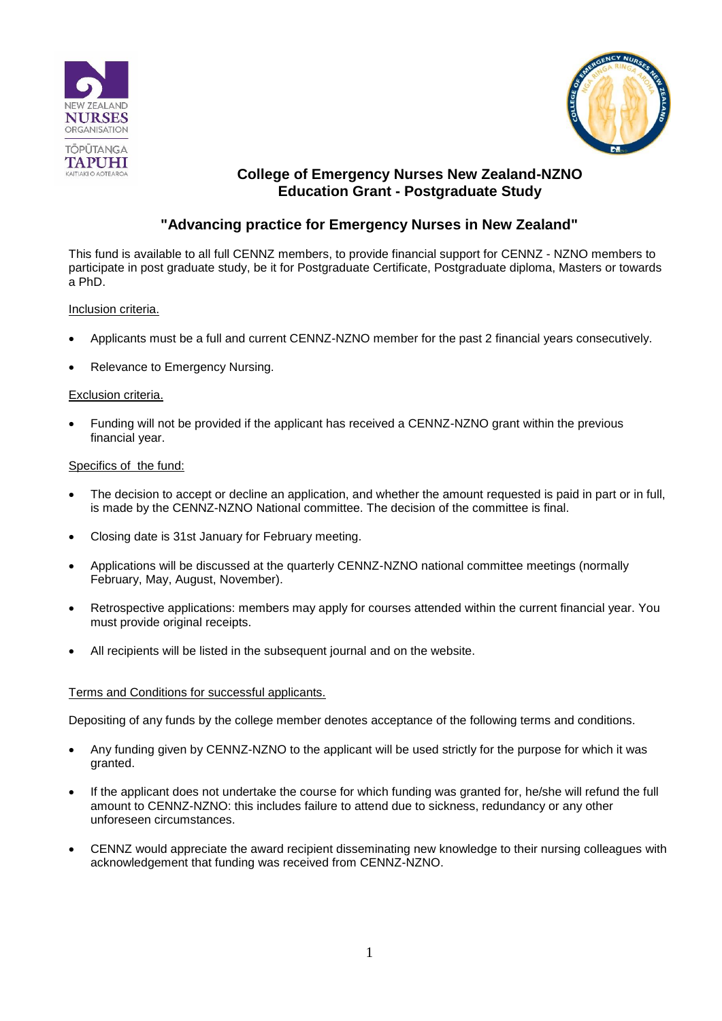



# **College of Emergency Nurses New Zealand-NZNO Education Grant - Postgraduate Study**

# **"Advancing practice for Emergency Nurses in New Zealand"**

This fund is available to all full CENNZ members, to provide financial support for CENNZ - NZNO members to participate in post graduate study, be it for Postgraduate Certificate, Postgraduate diploma, Masters or towards a PhD.

### Inclusion criteria.

- Applicants must be a full and current CENNZ-NZNO member for the past 2 financial years consecutively.
- Relevance to Emergency Nursing.

### Exclusion criteria.

 Funding will not be provided if the applicant has received a CENNZ-NZNO grant within the previous financial year.

#### Specifics of the fund:

- The decision to accept or decline an application, and whether the amount requested is paid in part or in full, is made by the CENNZ-NZNO National committee. The decision of the committee is final.
- Closing date is 31st January for February meeting.
- Applications will be discussed at the quarterly CENNZ-NZNO national committee meetings (normally February, May, August, November).
- Retrospective applications: members may apply for courses attended within the current financial year. You must provide original receipts.
- All recipients will be listed in the subsequent journal and on the website.

#### Terms and Conditions for successful applicants.

Depositing of any funds by the college member denotes acceptance of the following terms and conditions.

- Any funding given by CENNZ-NZNO to the applicant will be used strictly for the purpose for which it was granted.
- If the applicant does not undertake the course for which funding was granted for, he/she will refund the full amount to CENNZ-NZNO: this includes failure to attend due to sickness, redundancy or any other unforeseen circumstances.
- CENNZ would appreciate the award recipient disseminating new knowledge to their nursing colleagues with acknowledgement that funding was received from CENNZ-NZNO.